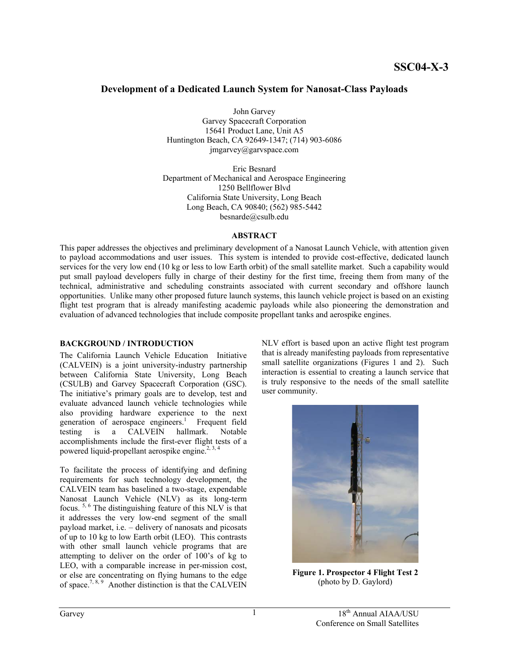# **Development of a Dedicated Launch System for Nanosat-Class Payloads**

John Garvey

Garvey Spacecraft Corporation 15641 Product Lane, Unit A5 Huntington Beach, CA 92649-1347; (714) 903-6086 jmgarvey@garvspace.com

Eric Besnard Department of Mechanical and Aerospace Engineering 1250 Bellflower Blvd California State University, Long Beach Long Beach, CA 90840; (562) 985-5442 besnarde@csulb.edu

#### **ABSTRACT**

This paper addresses the objectives and preliminary development of a Nanosat Launch Vehicle, with attention given to payload accommodations and user issues. This system is intended to provide cost-effective, dedicated launch services for the very low end (10 kg or less to low Earth orbit) of the small satellite market. Such a capability would put small payload developers fully in charge of their destiny for the first time, freeing them from many of the technical, administrative and scheduling constraints associated with current secondary and offshore launch opportunities. Unlike many other proposed future launch systems, this launch vehicle project is based on an existing flight test program that is already manifesting academic payloads while also pioneering the demonstration and evaluation of advanced technologies that include composite propellant tanks and aerospike engines.

### **BACKGROUND / INTRODUCTION**

The California Launch Vehicle Education Initiative (CALVEIN) is a joint university-industry partnership between California State University, Long Beach (CSULB) and Garvey Spacecraft Corporation (GSC). The initiative's primary goals are to develop, test and evaluate advanced launch vehicle technologies while also providing hardware experience to the next generation of aerospace engineers.<sup>1</sup> Frequent field testing is a CALVEIN hallmark. Notable accomplishments include the first-ever flight tests of a powered liquid-propellant aerospike engine.<sup>[2,](#page-6-1) [3,](#page-6-2) 4</sup>

To facilitate the process of identifying and defining requirements for such technology development, the CALVEIN team has baselined a two-stage, expendable Nanosat Launch Vehicle (NLV) as its long-term focus. [5,](#page-6-4) [6](#page-6-5) The distinguishing feature of this NLV is that it addresses the very low-end segment of the small payload market, i.e. – delivery of nanosats and picosats of up to 10 kg to low Earth orbit (LEO). This contrasts with other small launch vehicle programs that are attempting to deliver on the order of 100's of kg to LEO, with a comparable increase in per-mission cost, or else are concentrating on flying humans to the edge of space.<sup>[7,](#page-6-6) [8,](#page-6-7) 9</sup> Another distinction is that the CALVEIN

NLV effort is based upon an active flight test program that is already manifesting payloads from representative small satellite organizations (Figures 1 and 2). Such interaction is essential to creating a launch service that is truly responsive to the needs of the small satellite user community.



**Figure 1. Prospector 4 Flight Test 2**  (photo by D. Gaylord)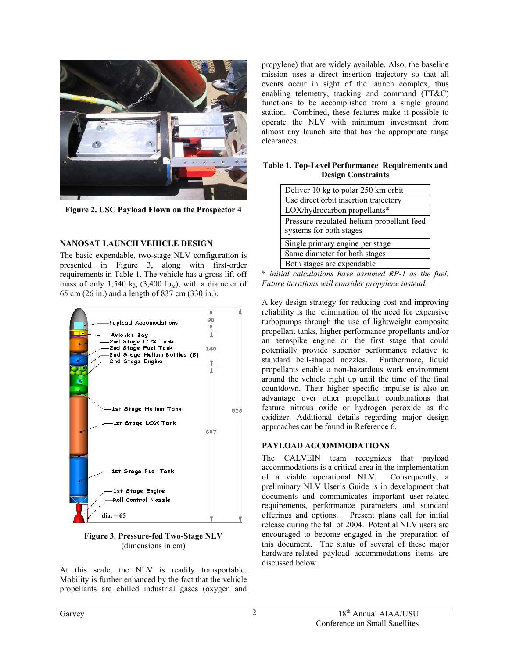

**Figure 2. USC Payload Flown on the Prospector 4** 

#### **NANOSAT LAUNCH VEHICLE DESIGN**

The basic expendable, two-stage NLV configuration is presented in Figure 3, along with first-order requirements in Table 1. The vehicle has a gross lift-off mass of only 1,540 kg  $(3,400 \text{ lb}_m)$ , with a diameter of 65 cm (26 in.) and a length of 837 cm (330 in.).



**Figure 3. Pressure-fed Two-Stage NLV**  (dimensions in cm)

At this scale, the NLV is readily transportable. Mobility is further enhanced by the fact that the vehicle propellants are chilled industrial gases (oxygen and

propylene) that are widely available. Also, the baseline mission uses a direct insertion trajectory so that all events occur in sight of the launch complex, thus enabling telemetry, tracking and command (TT&C) functions to be accomplished from a single ground station. Combined, these features make it possible to operate the NLV with minimum investment from almost any launch site that has the appropriate range clearances.

#### **Table 1. Top-Level Performance Requirements and Design Constraints**

| Deliver 10 kg to polar 250 km orbit       |
|-------------------------------------------|
| Use direct orbit insertion trajectory     |
| LOX/hydrocarbon propellants*              |
| Pressure regulated helium propellant feed |
| systems for both stages                   |
| Single primary engine per stage           |
| Same diameter for both stages             |
| Both stages are expendable                |

\* *initial calculations have assumed RP-1 as the fuel. Future iterations will consider propylene instead.*

A key design strategy for reducing cost and improving reliability is the elimination of the need for expensive turbopumps through the use of lightweight composite propellant tanks, higher performance propellants and/or an aerospike engine on the first stage that could potentially provide superior performance relative to standard bell-shaped nozzles. Furthermore, liquid propellants enable a non-hazardous work environment around the vehicle right up until the time of the final countdown. Their higher specific impulse is also an advantage over other propellant combinations that feature nitrous oxide or hydrogen peroxide as the oxidizer. Additional details regarding major design approaches can be found in Reference 6.

#### **PAYLOAD ACCOMMODATIONS**

The CALVEIN team recognizes that payload accommodations is a critical area in the implementation of a viable operational NLV. Consequently, a preliminary NLV User's Guide is in development that documents and communicates important user-related requirements, performance parameters and standard offerings and options. Present plans call for initial release during the fall of 2004. Potential NLV users are encouraged to become engaged in the preparation of this document. The status of several of these major hardware-related payload accommodations items are discussed below.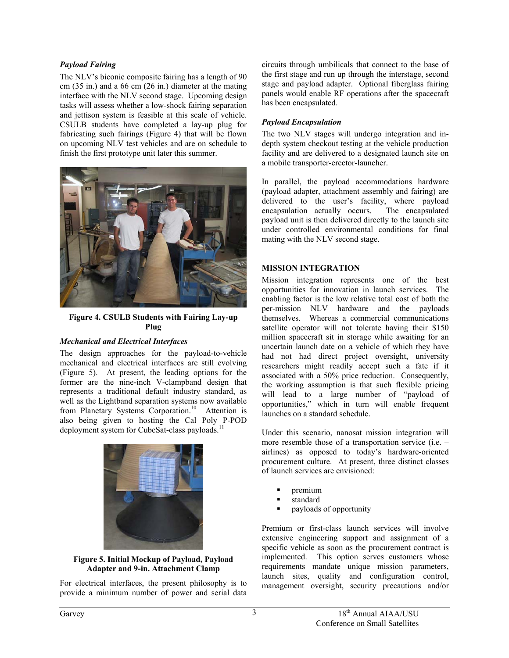### *Payload Fairing*

The NLV's biconic composite fairing has a length of 90 cm (35 in.) and a 66 cm (26 in.) diameter at the mating interface with the NLV second stage. Upcoming design tasks will assess whether a low-shock fairing separation and jettison system is feasible at this scale of vehicle. CSULB students have completed a lay-up plug for fabricating such fairings ([Figure 4](#page-2-0)) that will be flown on upcoming NLV test vehicles and are on schedule to finish the first prototype unit later this summer.

<span id="page-2-0"></span>

**Figure 4. CSULB Students with Fairing Lay-up Plug** 

### *Mechanical and Electrical Interfaces*

The design approaches for the payload-to-vehicle mechanical and electrical interfaces are still evolving ([Figure](#page-2-1) 5). At present, the leading options for the former are the nine-inch V-clampband design that represents a traditional default industry standard, as well as the Lightband separation systems now available from Planetary Systems Corporation.<sup>10</sup> Attention is also being given to hosting the Cal Poly P-POD deployment system for CubeSat-class payloads.<sup>11</sup>

<span id="page-2-1"></span>

**Figure 5. Initial Mockup of Payload, Payload Adapter and 9-in. Attachment Clamp** 

For electrical interfaces, the present philosophy is to provide a minimum number of power and serial data

circuits through umbilicals that connect to the base of the first stage and run up through the interstage, second stage and payload adapter. Optional fiberglass fairing panels would enable RF operations after the spacecraft has been encapsulated.

## *Payload Encapsulation*

The two NLV stages will undergo integration and indepth system checkout testing at the vehicle production facility and are delivered to a designated launch site on a mobile transporter-erector-launcher.

In parallel, the payload accommodations hardware (payload adapter, attachment assembly and fairing) are delivered to the user's facility, where payload encapsulation actually occurs. The encapsulated payload unit is then delivered directly to the launch site under controlled environmental conditions for final mating with the NLV second stage.

## **MISSION INTEGRATION**

Mission integration represents one of the best opportunities for innovation in launch services. The enabling factor is the low relative total cost of both the per-mission NLV hardware and the payloads themselves. Whereas a commercial communications satellite operator will not tolerate having their \$150 million spacecraft sit in storage while awaiting for an uncertain launch date on a vehicle of which they have had not had direct project oversight, university researchers might readily accept such a fate if it associated with a 50% price reduction. Consequently, the working assumption is that such flexible pricing will lead to a large number of "payload of opportunities," which in turn will enable frequent launches on a standard schedule.

Under this scenario, nanosat mission integration will more resemble those of a transportation service (i.e. – airlines) as opposed to today's hardware-oriented procurement culture. At present, three distinct classes of launch services are envisioned:

- premium
- standard
- payloads of opportunity

Premium or first-class launch services will involve extensive engineering support and assignment of a specific vehicle as soon as the procurement contract is implemented. This option serves customers whose requirements mandate unique mission parameters, launch sites, quality and configuration control, management oversight, security precautions and/or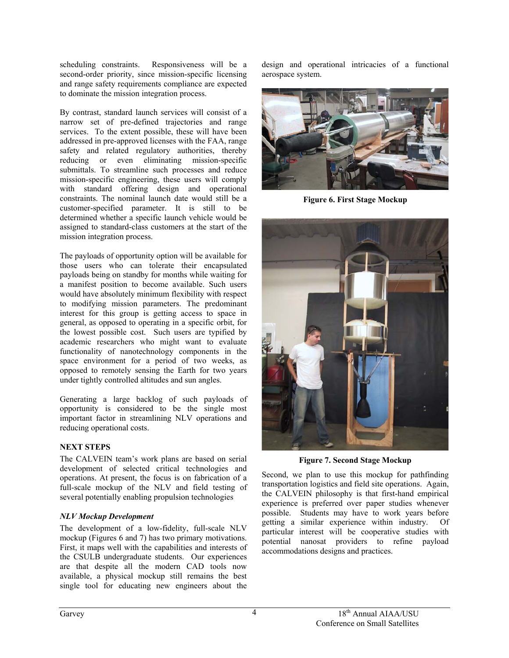scheduling constraints. Responsiveness will be a second-order priority, since mission-specific licensing and range safety requirements compliance are expected to dominate the mission integration process.

By contrast, standard launch services will consist of a narrow set of pre-defined trajectories and range services. To the extent possible, these will have been addressed in pre-approved licenses with the FAA, range safety and related regulatory authorities, thereby reducing or even eliminating mission-specific submittals. To streamline such processes and reduce mission-specific engineering, these users will comply with standard offering design and operational constraints. The nominal launch date would still be a customer-specified parameter. It is still to be determined whether a specific launch vehicle would be assigned to standard-class customers at the start of the mission integration process.

The payloads of opportunity option will be available for those users who can tolerate their encapsulated payloads being on standby for months while waiting for a manifest position to become available. Such users would have absolutely minimum flexibility with respect to modifying mission parameters. The predominant interest for this group is getting access to space in general, as opposed to operating in a specific orbit, for the lowest possible cost. Such users are typified by academic researchers who might want to evaluate functionality of nanotechnology components in the space environment for a period of two weeks, as opposed to remotely sensing the Earth for two years under tightly controlled altitudes and sun angles.

Generating a large backlog of such payloads of opportunity is considered to be the single most important factor in streamlining NLV operations and reducing operational costs.

### **NEXT STEPS**

The CALVEIN team's work plans are based on serial development of selected critical technologies and operations. At present, the focus is on fabrication of a full-scale mockup of the NLV and field testing of several potentially enabling propulsion technologies

### *NLV Mockup Development*

The development of a low-fidelity, full-scale NLV mockup (Figures 6 and 7) has two primary motivations. First, it maps well with the capabilities and interests of the CSULB undergraduate students. Our experiences are that despite all the modern CAD tools now available, a physical mockup still remains the best single tool for educating new engineers about the

design and operational intricacies of a functional aerospace system.



**Figure 6. First Stage Mockup** 



**Figure 7. Second Stage Mockup** 

Second, we plan to use this mockup for pathfinding transportation logistics and field site operations. Again, the CALVEIN philosophy is that first-hand empirical experience is preferred over paper studies whenever possible. Students may have to work years before getting a similar experience within industry. Of particular interest will be cooperative studies with potential nanosat providers to refine payload accommodations designs and practices.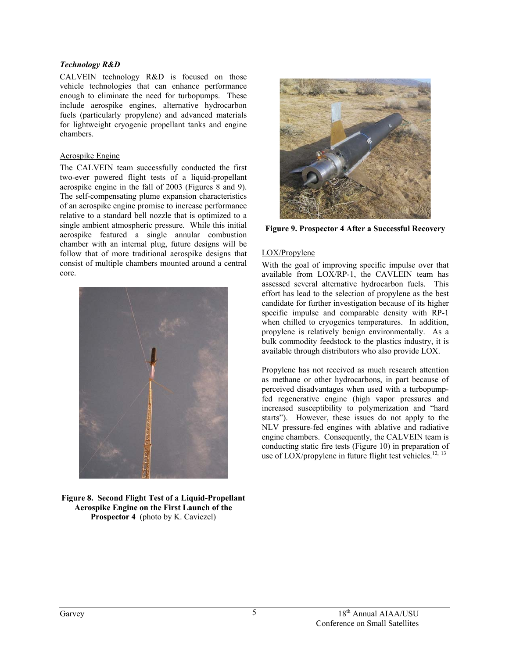### *Technology R&D*

CALVEIN technology R&D is focused on those vehicle technologies that can enhance performance enough to eliminate the need for turbopumps. These include aerospike engines, alternative hydrocarbon fuels (particularly propylene) and advanced materials for lightweight cryogenic propellant tanks and engine chambers.

### Aerospike Engine

The CALVEIN team successfully conducted the first two-ever powered flight tests of a liquid-propellant aerospike engine in the fall of 2003 (Figures 8 and 9). The self-compensating plume expansion characteristics of an aerospike engine promise to increase performance relative to a standard bell nozzle that is optimized to a single ambient atmospheric pressure. While this initial aerospike featured a single annular combustion chamber with an internal plug, future designs will be follow that of more traditional aerospike designs that consist of multiple chambers mounted around a central core.



**Figure 8. Second Flight Test of a Liquid-Propellant Aerospike Engine on the First Launch of the Prospector 4** (photo by K. Caviezel)



**Figure 9. Prospector 4 After a Successful Recovery**

## LOX/Propylene

With the goal of improving specific impulse over that available from LOX/RP-1, the CAVLEIN team has assessed several alternative hydrocarbon fuels. This effort has lead to the selection of propylene as the best candidate for further investigation because of its higher specific impulse and comparable density with RP-1 when chilled to cryogenics temperatures. In addition, propylene is relatively benign environmentally. As a bulk commodity feedstock to the plastics industry, it is available through distributors who also provide LOX.

Propylene has not received as much research attention as methane or other hydrocarbons, in part because of perceived disadvantages when used with a turbopumpfed regenerative engine (high vapor pressures and increased susceptibility to polymerization and "hard starts"). However, these issues do not apply to the NLV pressure-fed engines with ablative and radiative engine chambers. Consequently, the CALVEIN team is conducting static fire tests ([Figure 10](#page-5-0)) in preparation of use of LOX/propylene in future flight test vehicles.<sup>[12,](#page-6-11) [13](#page-6-12)</sup>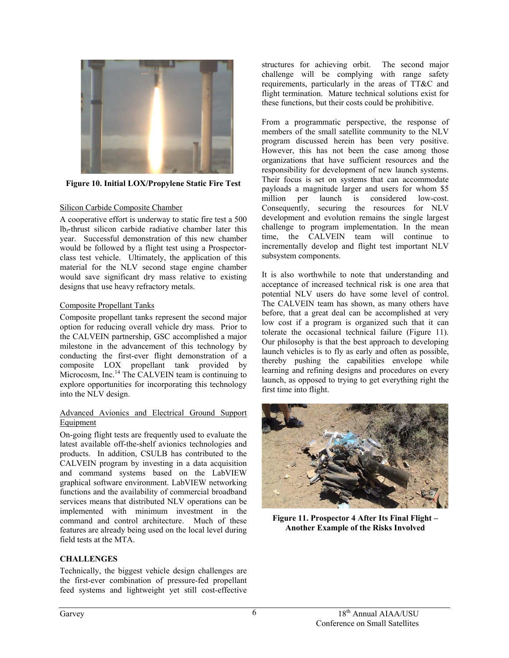

**Figure 10. Initial LOX/Propylene Static Fire Test** 

### <span id="page-5-0"></span>Silicon Carbide Composite Chamber

A cooperative effort is underway to static fire test a 500 lbf-thrust silicon carbide radiative chamber later this year. Successful demonstration of this new chamber would be followed by a flight test using a Prospectorclass test vehicle. Ultimately, the application of this material for the NLV second stage engine chamber would save significant dry mass relative to existing designs that use heavy refractory metals.

### Composite Propellant Tanks

Composite propellant tanks represent the second major option for reducing overall vehicle dry mass. Prior to the CALVEIN partnership, GSC accomplished a major milestone in the advancement of this technology by conducting the first-ever flight demonstration of a composite LOX propellant tank provided by Microcosm, Inc.<sup>14</sup> The CALVEIN team is continuing to explore opportunities for incorporating this technology into the NLV design.

### Advanced Avionics and Electrical Ground Support Equipment

On-going flight tests are frequently used to evaluate the latest available off-the-shelf avionics technologies and products. In addition, CSULB has contributed to the CALVEIN program by investing in a data acquisition and command systems based on the LabVIEW graphical software environment. LabVIEW networking functions and the availability of commercial broadband services means that distributed NLV operations can be implemented with minimum investment in the command and control architecture. Much of these features are already being used on the local level during field tests at the MTA.

### **CHALLENGES**

Technically, the biggest vehicle design challenges are the first-ever combination of pressure-fed propellant feed systems and lightweight yet still cost-effective

structures for achieving orbit. The second major challenge will be complying with range safety requirements, particularly in the areas of TT&C and flight termination. Mature technical solutions exist for these functions, but their costs could be prohibitive.

From a programmatic perspective, the response of members of the small satellite community to the NLV program discussed herein has been very positive. However, this has not been the case among those organizations that have sufficient resources and the responsibility for development of new launch systems. Their focus is set on systems that can accommodate payloads a magnitude larger and users for whom \$5 million per launch is considered low-cost. million per launch is considered low-cost. Consequently, securing the resources for NLV development and evolution remains the single largest challenge to program implementation. In the mean time, the CALVEIN team will continue to incrementally develop and flight test important NLV subsystem components.

It is also worthwhile to note that understanding and acceptance of increased technical risk is one area that potential NLV users do have some level of control. The CALVEIN team has shown, as many others have before, that a great deal can be accomplished at very low cost if a program is organized such that it can tolerate the occasional technical failure ([Figure 11\)](#page-5-1). Our philosophy is that the best approach to developing launch vehicles is to fly as early and often as possible, thereby pushing the capabilities envelope while learning and refining designs and procedures on every launch, as opposed to trying to get everything right the first time into flight.

<span id="page-5-1"></span>

**Figure 11. Prospector 4 After Its Final Flight – Another Example of the Risks Involved**